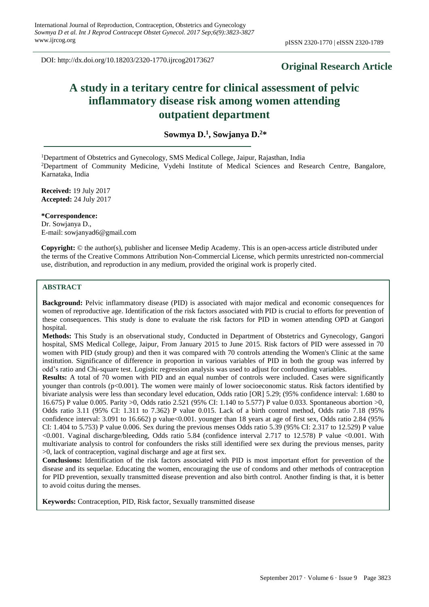DOI: http://dx.doi.org/10.18203/2320-1770.ijrcog20173627

# **Original Research Article**

# **A study in a teritary centre for clinical assessment of pelvic inflammatory disease risk among women attending outpatient department**

**Sowmya D.<sup>1</sup> , Sowjanya D.<sup>2</sup>\***

<sup>1</sup>Department of Obstetrics and Gynecology, SMS Medical College, Jaipur, Rajasthan, India <sup>2</sup>Department of Community Medicine, Vydehi Institute of Medical Sciences and Research Centre, Bangalore, Karnataka, India

**Received:** 19 July 2017 **Accepted:** 24 July 2017

**\*Correspondence:** Dr. Sowjanya D., E-mail: sowjanyad6@gmail.com

**Copyright:** © the author(s), publisher and licensee Medip Academy. This is an open-access article distributed under the terms of the Creative Commons Attribution Non-Commercial License, which permits unrestricted non-commercial use, distribution, and reproduction in any medium, provided the original work is properly cited.

## **ABSTRACT**

**Background:** Pelvic inflammatory disease (PID) is associated with major medical and economic consequences for women of reproductive age. Identification of the risk factors associated with PID is crucial to efforts for prevention of these consequences. This study is done to evaluate the risk factors for PID in women attending OPD at Gangori hospital.

**Methods:** This Study is an observational study, Conducted in Department of Obstetrics and Gynecology, Gangori hospital, SMS Medical College, Jaipur, From January 2015 to June 2015. Risk factors of PID were assessed in 70 women with PID (study group) and then it was compared with 70 controls attending the Women's Clinic at the same institution. Significance of difference in proportion in various variables of PID in both the group was inferred by odd's ratio and Chi-square test. Logistic regression analysis was used to adjust for confounding variables.

**Results:** A total of 70 women with PID and an equal number of controls were included. Cases were significantly younger than controls (p<0.001). The women were mainly of lower socioeconomic status. Risk factors identified by bivariate analysis were less than secondary level education, Odds ratio [OR] 5.29; (95% confidence interval: 1.680 to 16.675) P value 0.005. Parity >0, Odds ratio 2.521 (95% CI: 1.140 to 5.577) P value 0.033. Spontaneous abortion >0, Odds ratio 3.11 (95% CI: 1.311 to 7.362) P value 0.015. Lack of a birth control method, Odds ratio 7.18 (95% confidence interval:  $3.091$  to  $16.662$ ) p value<0.001. younger than 18 years at age of first sex, Odds ratio 2.84 (95%) CI: 1.404 to 5.753) P value 0.006. Sex during the previous menses Odds ratio 5.39 (95% CI: 2.317 to 12.529) P value <0.001. Vaginal discharge/bleeding, Odds ratio 5.84 (confidence interval 2.717 to 12.578) P value <0.001. With multivariate analysis to control for confounders the risks still identified were sex during the previous menses, parity >0, lack of contraception, vaginal discharge and age at first sex.

**Conclusions:** Identification of the risk factors associated with PID is most important effort for prevention of the disease and its sequelae. Educating the women, encouraging the use of condoms and other methods of contraception for PID prevention, sexually transmitted disease prevention and also birth control. Another finding is that, it is better to avoid coitus during the menses.

**Keywords:** Contraception, PID, Risk factor, Sexually transmitted disease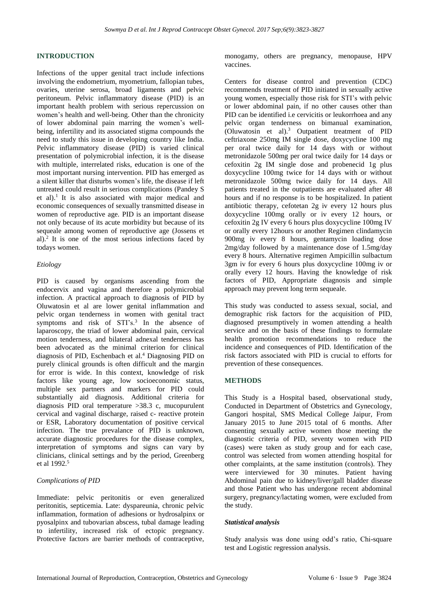## **INTRODUCTION**

Infections of the upper genital tract include infections involving the endometrium, myometrium, fallopian tubes, ovaries, uterine serosa, broad ligaments and pelvic peritoneum. Pelvic inflammatory disease (PID) is an important health problem with serious repercussion on women's health and well-being. Other than the chronicity of lower abdominal pain marring the women's wellbeing, infertility and its associated stigma compounds the need to study this issue in developing country like India. Pelvic inflammatory disease (PID) is varied clinical presentation of polymicrobial infection, it is the disease with multiple, interrelated risks, education is one of the most important nursing intervention. PID has emerged as a silent killer that disturbs women's life, the disease if left untreated could result in serious complications (Pandey S et al).<sup>1</sup> It is also associated with major medical and economic consequences of sexually transmitted disease in women of reproductive age. PID is an important disease not only because of its acute morbidity but because of its sequeale among women of reproductive age (Jossens et al).<sup>2</sup> It is one of the most serious infections faced by todays women.

#### *Etiology*

PID is caused by organisms ascending from the endocervix and vagina and therefore a polymicrobial infection. A practical approach to diagnosis of PID by Oluwatosin et al are lower genital inflammation and pelvic organ tenderness in women with genital tract symptoms and risk of STI's.<sup>3</sup> In the absence of laparoscopy, the triad of lower abdominal pain, cervical motion tenderness, and bilateral adnexal tenderness has been advocated as the minimal criterion for clinical diagnosis of PID, Eschenbach et al. <sup>4</sup> Diagnosing PID on purely clinical grounds is often difficult and the margin for error is wide. In this context, knowledge of risk factors like young age, low socioeconomic status, multiple sex partners and markers for PID could substantially aid diagnosis. Additional criteria for diagnosis PID oral temperature >38.3 c, mucopurulent cervical and vaginal discharge, raised c- reactive protein or ESR, Laboratory documentation of positive cervical infection. The true prevalance of PID is unknown, accurate diagnostic procedures for the disease complex, interpretation of symptoms and signs can vary by clinicians, clinical settings and by the period, Greenberg et al 1992. 5

#### *Complications of PID*

Immediate: pelvic peritonitis or even generalized peritonitis, septicemia. Late: dyspareunia, chronic pelvic inflammation, formation of adhesions or hydrosalpinx or pyosalpinx and tubovarian abscess, tubal damage leading to infertility, increased risk of ectopic pregnancy. Protective factors are barrier methods of contraceptive, monogamy, others are pregnancy, menopause, HPV vaccines.

Centers for disease control and prevention (CDC) recommends treatment of PID initiated in sexually active young women, especially those risk for STI's with pelvic or lower abdominal pain, if no other causes other than PID can be identified i.e cervicitis or leukorrhoea and any pelvic organ tenderness on bimanual examination, (Oluwatosin et al).<sup>3</sup> Outpatient treatment of PID ceftriaxone 250mg IM single dose, doxycycline 100 mg per oral twice daily for 14 days with or without metronidazole 500mg per oral twice daily for 14 days or cefoxitin 2g IM single dose and probenecid 1g plus doxycycline 100mg twice for 14 days with or without metronidazole 500mg twice daily for 14 days. All patients treated in the outpatients are evaluated after 48 hours and if no response is to be hospitalized. In patient antibiotic therapy, cefotetan 2g iv every 12 hours plus doxycycline 100mg orally or iv every 12 hours, or cefoxitin 2g IV every 6 hours plus doxycycline 100mg IV or orally every 12hours or another Regimen clindamycin 900mg iv every 8 hours, gentamycin loading dose 2mg/day followed by a maintenance dose of 1.5mg/day every 8 hours. Alternative regimen Ampicillin sulbactum 3gm iv for every 6 hours plus doxycycline 100mg iv or orally every 12 hours. Having the knowledge of risk factors of PID, Appropriate diagnosis and simple approach may prevent long term sequeale.

This study was conducted to assess sexual, social, and demographic risk factors for the acquisition of PID, diagnosed presumptively in women attending a health service and on the basis of these findings to formulate health promotion recommendations to reduce the incidence and consequences of PID. Identification of the risk factors associated with PID is crucial to efforts for prevention of these consequences.

#### **METHODS**

This Study is a Hospital based, observational study, Conducted in Department of Obstetrics and Gynecology, Gangori hospital, SMS Medical College Jaipur, From January 2015 to June 2015 total of 6 months. After consenting sexually active women those meeting the diagnostic criteria of PID, seventy women with PID (cases) were taken as study group and for each case, control was selected from women attending hospital for other complaints, at the same institution (controls). They were interviewed for 30 minutes. Patient having Abdominal pain due to kidney/liver/gall bladder disease and those Patient who has undergone recent abdominal surgery, pregnancy/lactating women, were excluded from the study.

#### *Statistical analysis*

Study analysis was done using odd's ratio, Chi-square test and Logistic regression analysis.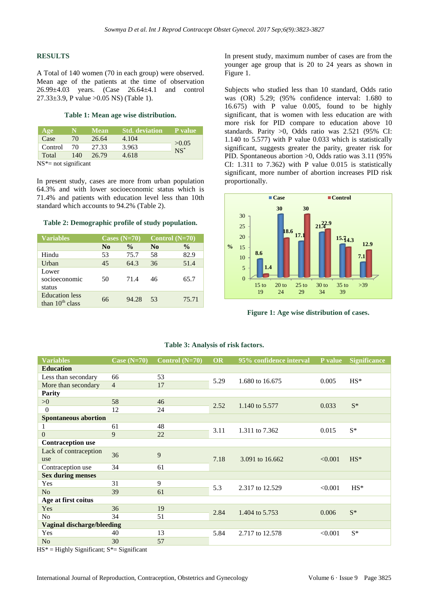#### **RESULTS**

A Total of 140 women (70 in each group) were observed. Mean age of the patients at the time of observation 26.99±4.03 years. (Case 26.64±4.1 and control 27.33±3.9, P value >0.05 NS) (Table 1).

#### **Table 1: Mean age wise distribution.**

| Age     | N.  | <b>Mean</b> | <b>Std.</b> deviation P value |                 |  |
|---------|-----|-------------|-------------------------------|-----------------|--|
| Case    | 70  | 26.64       | 4.104                         |                 |  |
| Control | 70  |             | 3.963                         | >0.05<br>$NS^*$ |  |
| Total   | 140 | 26.79       | 4.618                         |                 |  |

 $NS^*$ = not significant

In present study, cases are more from urban population 64.3% and with lower socioeconomic status which is 71.4% and patients with education level less than 10th standard which accounts to 94.2% (Table 2).

#### **Table 2: Demographic profile of study population.**

| <b>Variables</b>                           | Cases $(N=70)$ |               | Control $(N=70)$ |               |
|--------------------------------------------|----------------|---------------|------------------|---------------|
|                                            | N <sub>0</sub> | $\frac{0}{0}$ | N <sub>0</sub>   | $\frac{0}{0}$ |
| Hindu                                      | 53             | 75.7          | 58               | 82.9          |
| Urban                                      | 45             | 64.3          | 36               | 51.4          |
| Lower<br>socioeconomic<br>status           | 50             | 71.4          | 46               | 65.7          |
| <b>Education</b> less<br>than $10th$ class | 66             | 94.28         | 53               | 75.71         |

In present study, maximum number of cases are from the younger age group that is 20 to 24 years as shown in Figure 1.

Subjects who studied less than 10 standard, Odds ratio was (OR) 5.29; (95% confidence interval: 1.680 to 16.675) with P value 0.005, found to be highly significant, that is women with less education are with more risk for PID compare to education above 10 standards. Parity >0, Odds ratio was 2.521 (95% CI: 1.140 to 5.577) with P value 0.033 which is statistically significant, suggests greater the parity, greater risk for PID. Spontaneous abortion >0, Odds ratio was 3.11 (95% CI: 1.311 to 7.362) with P value 0.015 is statistically significant, more number of abortion increases PID risk proportionally.



**Figure 1: Age wise distribution of cases.**

| <b>Variables</b>                  | Case $(N=70)$  | Control $(N=70)$ | <b>OR</b> | 95% confidence interval | P value | <b>Significance</b> |
|-----------------------------------|----------------|------------------|-----------|-------------------------|---------|---------------------|
| <b>Education</b>                  |                |                  |           |                         |         |                     |
| Less than secondary               | 66             | 53               | 5.29      | 1.680 to 16.675         | 0.005   | $HS^*$              |
| More than secondary               | $\overline{4}$ | 17               |           |                         |         |                     |
| <b>Parity</b>                     |                |                  |           |                         |         |                     |
| >0                                | 58             | 46               | 2.52      | 1.140 to 5.577          | 0.033   | $S^*$               |
| $\Omega$                          | 12             | 24               |           |                         |         |                     |
| <b>Spontaneous abortion</b>       |                |                  |           |                         |         |                     |
|                                   | 61             | 48               | 3.11      | 1.311 to 7.362          | 0.015   | $S^*$               |
| $\overline{0}$                    | 9              | 22               |           |                         |         |                     |
| <b>Contraception use</b>          |                |                  |           |                         |         |                     |
| Lack of contraception             | 36             | 9                | 7.18      | 3.091 to 16.662         | < 0.001 | $HS^*$              |
| use                               |                |                  |           |                         |         |                     |
| Contraception use                 | 34             | 61               |           |                         |         |                     |
| <b>Sex during menses</b>          |                |                  |           |                         |         |                     |
| Yes                               | 31             | 9                | 5.3       | 2.317 to 12.529         | < 0.001 | $HS^*$              |
| N <sub>o</sub>                    | 39             | 61               |           |                         |         |                     |
| Age at first coitus               |                |                  |           |                         |         |                     |
| Yes                               | 36             | 19               | 2.84      | 1.404 to 5.753          | 0.006   | $S^*$               |
| N <sub>0</sub>                    | 34             | 51               |           |                         |         |                     |
| <b>Vaginal discharge/bleeding</b> |                |                  |           |                         |         |                     |
| Yes                               | 40             | 13               | 5.84      | 2.717 to 12.578         | < 0.001 | $S^*$               |
| N <sub>o</sub>                    | 30             | 57               |           |                         |         |                     |

#### **Table 3: Analysis of risk factors.**

 $HS^*$  = Highly Significant;  $S^*$  = Significant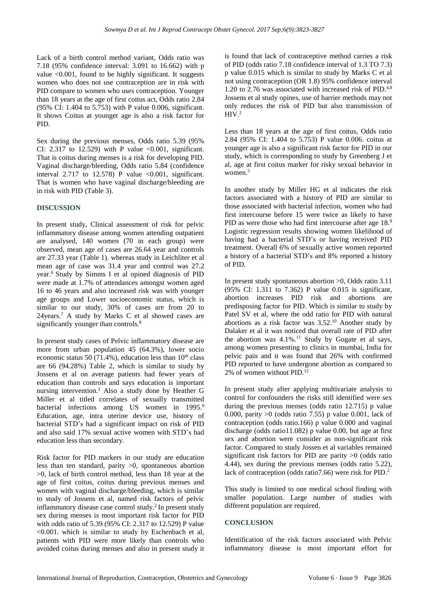Lack of a birth control method variant, Odds ratio was 7.18 (95% confidence interval: 3.091 to 16.662) with p value <0.001, found to be highly significant. It suggests women who does not use contraception are in risk with PID compare to women who uses contraception. Younger than 18 years at the age of first coitus act, Odds ratio 2.84 (95% CI: 1.404 to 5.753) with P value 0.006, significant. It shows Coitus at younger age is also a risk factor for PID.

Sex during the previous menses, Odds ratio 5.39 (95% CI: 2.317 to 12.529) with P value  $\leq 0.001$ , significant. That is coitus during menses is a risk for developing PID. Vaginal discharge/bleeding, Odds ratio 5.84 (confidence interval  $2.717$  to  $12.578$ ) P value <0.001, significant. That is women who have vaginal discharge/bleeding are in risk with PID (Table 3).

#### **DISCUSSION**

In present study, Clinical assessment of risk for pelvic inflammatory disease among women attending outpatient are analysed, 140 women (70 in each group) were observed, mean age of cases are 26.64 year and controls are 27.33 year (Table 1). whereas study in Leichliter et al mean age of case was 31.4 year and control was 27.2 year.<sup>6</sup> Study by Simms I et al opined diagnosis of PID were made at 1.7% of attendances amongst women aged 16 to 46 years and also increased risk was with younger age groups and Lower socioeconomic status, which is similar to our study, 30% of cases are from 20 to 24years.<sup>7</sup> A study by Marks C et al showed cases are significantly younger than controls.<sup>8</sup>

In present study cases of Pelvic inflammatory disease are more from urban population 45 (64.3%), lower socio economic status 50 (71.4%), education less than  $10^{th}$  class are 66 (94.28%) Table 2, which is similar to study by Jossens et al on average patients had fewer years of education than controls and says education is important nursing intervention.<sup>2</sup> Also a study done by Heather G Miller et al titled correlates of sexually transmitted bacterial infections among US women in 1995.<sup>9</sup> Education, age, intra uterine device use, history of bacterial STD's had a significant impact on risk of PID and also said 17% sexual active women with STD's had education less than secondary.

Risk factor for PID markers in our study are education less than ten standard, parity >0, spontaneous abortion >0, lack of birth control method, less than 18 year at the age of first coitus, coitus during previous menses and women with vaginal discharge/bleeding, which is similar to study of Jossens et al, named risk factors of pelvic inflammatory disease case control study.<sup>2</sup> In present study sex during menses is most important risk factor for PID with odds ratio of 5.39 (95% CI: 2.317 to 12.529) P value <0.001. which is similar to study by Eschenbach et al, patients with PID were more likely than controls who avoided coitus during menses and also in present study it is found that lack of contraceptive method carries a risk of PID (odds ratio 7.18 confidence interval of 1.3 TO 7.3) p value 0.015 which is similar to study by Marks C et al not using contraception (OR 1.8) 95% confidence interval 1.20 to 2.76 was associated with increased risk of PID.<sup>4,8</sup> Jossens et al study opines, use of barrier methods may not only reduces the risk of PID but also transmission of  $HIV.<sup>2</sup>$ 

Less than 18 years at the age of first coitus, Odds ratio 2.84 (95% CI: 1.404 to 5.753) P value 0.006. coitus at younger age is also a significant risk factor for PID in our study, which is corresponding to study by Greenberg J et al, age at first coitus marker for risky sexual behavior in women<sup>5</sup>

In another study by Miller HG et al indicates the risk factors associated with a history of PID are similar to those associated with bacterial infection, women who had first intercourse before 15 were twice as likely to have PID as were those who had first intercourse after age 18.9 Logistic regression results showing women likelihood of having had a bacterial STD's or having received PID treatment. Overall 6% of sexually active women reported a history of a bacterial STD's and 8% reported a history of PID.

In present study spontaneous abortion >0, Odds ratio 3.11 (95% CI: 1.311 to 7.362) P value 0.015 is significant, abortion increases PID risk and abortions are predisposing factor for PID. Which is similar to study by Patel SV et al, where the odd ratio for PID with natural abortions as a risk factor was  $3.52^{10}$  Another study by Dalaker et al it was noticed that overall rate of PID after the abortion was  $4.1\%$ .<sup>11</sup> Study by Gogate et al says, among women presenting to clinics in mumbai, India for pelvic pain and it was found that 26% with confirmed PID reported to have undergone abortion as compared to 2% of women without PID.<sup>12</sup>

In present study after applying multivariate analysis to control for confounders the risks still identified were sex during the previous menses (odds ratio 12.715) p value 0.000, parity  $>0$  (odds ratio 7.55) p value 0.001, lack of contraception (odds ratio.166) p value 0.000 and vaginal discharge (odds ratio11.082) p value 0.00, but age at first sex and abortion were consider as non-significant risk factor. Compared to study Jossen et al variables remained significant risk factors for PID are parity >0 (odds ratio 4.44), sex during the previous menses (odds ratio 5.22), lack of contraception (odds ratio7.66) were risk for PID.<sup>2</sup>

This study is limited to one medical school finding with smaller population. Large number of studies with different population are required.

#### **CONCLUSION**

Identification of the risk factors associated with Pelvic inflammatory disease is most important effort for